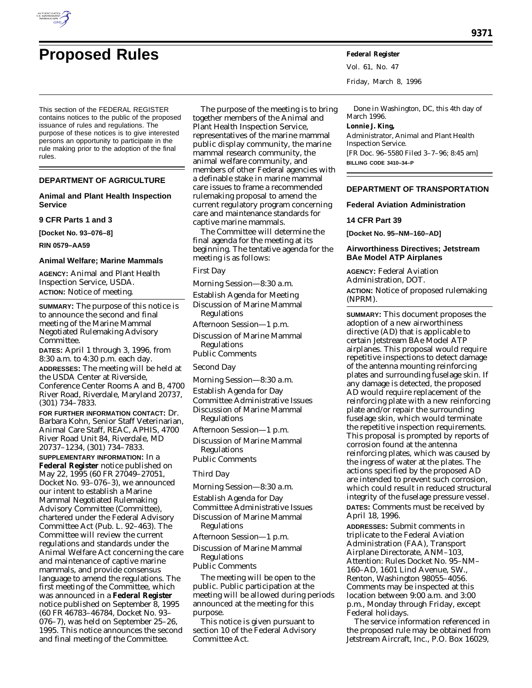

# **Proposed Rules Federal Register**

This section of the FEDERAL REGISTER contains notices to the public of the proposed issuance of rules and regulations. The purpose of these notices is to give interested persons an opportunity to participate in the rule making prior to the adoption of the final rules.

## **DEPARTMENT OF AGRICULTURE**

### **Animal and Plant Health Inspection Service**

**9 CFR Parts 1 and 3**

**[Docket No. 93–076–8]**

**RIN 0579–AA59**

#### **Animal Welfare; Marine Mammals**

**AGENCY:** Animal and Plant Health Inspection Service, USDA. **ACTION:** Notice of meeting.

**SUMMARY:** The purpose of this notice is to announce the second and final meeting of the Marine Mammal Negotiated Rulemaking Advisory Committee.

**DATES:** April 1 through 3, 1996, from 8:30 a.m. to 4:30 p.m. each day. **ADDRESSES:** The meeting will be held at the USDA Center at Riverside, Conference Center Rooms A and B, 4700 River Road, Riverdale, Maryland 20737, (301) 734–7833.

**FOR FURTHER INFORMATION CONTACT:** Dr. Barbara Kohn, Senior Staff Veterinarian, Animal Care Staff, REAC, APHIS, 4700 River Road Unit 84, Riverdale, MD 20737–1234, (301) 734–7833.

**SUPPLEMENTARY INFORMATION:** In a **Federal Register** notice published on May 22, 1995 (60 FR 27049–27051, Docket No. 93–076–3), we announced our intent to establish a Marine Mammal Negotiated Rulemaking Advisory Committee (Committee), chartered under the Federal Advisory Committee Act (Pub. L. 92–463). The Committee will review the current regulations and standards under the Animal Welfare Act concerning the care and maintenance of captive marine mammals, and provide consensus language to amend the regulations. The first meeting of the Committee, which was announced in a **Federal Register** notice published on September 8, 1995 (60 FR 46783–46784, Docket No. 93– 076–7), was held on September 25–26, 1995. This notice announces the second and final meeting of the Committee.

The purpose of the meeting is to bring together members of the Animal and Plant Health Inspection Service, representatives of the marine mammal public display community, the marine mammal research community, the animal welfare community, and members of other Federal agencies with a definable stake in marine mammal care issues to frame a recommended rulemaking proposal to amend the current regulatory program concerning care and maintenance standards for captive marine mammals.

The Committee will determine the final agenda for the meeting at its beginning. The tentative agenda for the meeting is as follows:

#### *First Day*

*Morning Session—8:30 a.m.*

Establish Agenda for Meeting Discussion of Marine Mammal Regulations

*Afternoon Session—1 p.m.*

Discussion of Marine Mammal Regulations

Public Comments

## *Second Day*

*Morning Session—8:30 a.m.*

Establish Agenda for Day Committee Administrative Issues

Discussion of Marine Mammal Regulations

*Afternoon Session—1 p.m.*

Discussion of Marine Mammal Regulations

Public Comments

## *Third Day*

*Morning Session—8:30 a.m.*

Establish Agenda for Day

Committee Administrative Issues

Discussion of Marine Mammal Regulations

*Afternoon Session—1 p.m.*

Discussion of Marine Mammal Regulations

Public Comments

The meeting will be open to the public. Public participation at the meeting will be allowed during periods announced at the meeting for this purpose.

This notice is given pursuant to section 10 of the Federal Advisory Committee Act.

Vol. 61, No. 47 Friday, March 8, 1996

Done in Washington, DC, this 4th day of March 1996. **Lonnie J. King,** *Administrator, Animal and Plant Health Inspection Service.* [FR Doc. 96–5580 Filed 3–7–96; 8:45 am] **BILLING CODE 3410–34–P**

## **DEPARTMENT OF TRANSPORTATION**

**Federal Aviation Administration**

## **14 CFR Part 39**

**[Docket No. 95–NM–160–AD]**

## **Airworthiness Directives; Jetstream BAe Model ATP Airplanes**

**AGENCY:** Federal Aviation Administration, DOT. **ACTION:** Notice of proposed rulemaking

(NPRM). **SUMMARY:** This document proposes the adoption of a new airworthiness directive (AD) that is applicable to certain Jetstream BAe Model ATP airplanes. This proposal would require repetitive inspections to detect damage of the antenna mounting reinforcing plates and surrounding fuselage skin. If any damage is detected, the proposed AD would require replacement of the reinforcing plate with a new reinforcing plate and/or repair the surrounding fuselage skin, which would terminate the repetitive inspection requirements. This proposal is prompted by reports of corrosion found at the antenna reinforcing plates, which was caused by the ingress of water at the plates. The actions specified by the proposed AD are intended to prevent such corrosion, which could result in reduced structural integrity of the fuselage pressure vessel.

**DATES:** Comments must be received by April 18, 1996.

**ADDRESSES:** Submit comments in triplicate to the Federal Aviation Administration (FAA), Transport Airplane Directorate, ANM–103, Attention: Rules Docket No. 95–NM– 160–AD, 1601 Lind Avenue, SW., Renton, Washington 98055–4056. Comments may be inspected at this location between 9:00 a.m. and 3:00 p.m., Monday through Friday, except Federal holidays.

The service information referenced in the proposed rule may be obtained from Jetstream Aircraft, Inc., P.O. Box 16029,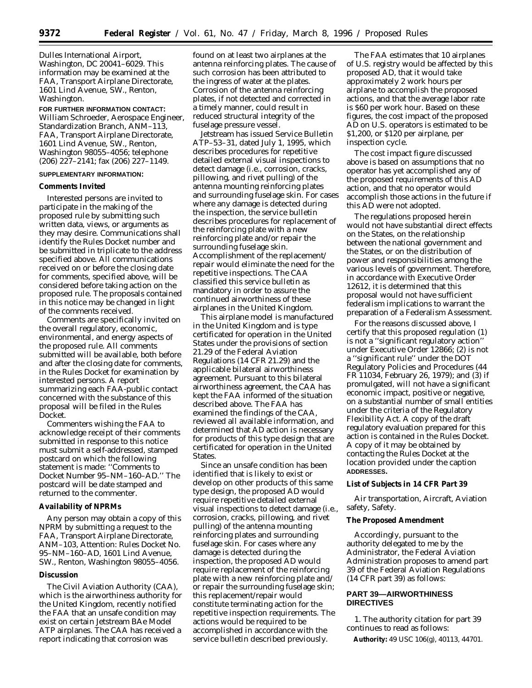Dulles International Airport, Washington, DC 20041–6029. This information may be examined at the FAA, Transport Airplane Directorate, 1601 Lind Avenue, SW., Renton, Washington.

## **FOR FURTHER INFORMATION CONTACT:** William Schroeder, Aerospace Engineer, Standardization Branch, ANM–113, FAA, Transport Airplane Directorate, 1601 Lind Avenue, SW., Renton, Washington 98055–4056; telephone (206) 227–2141; fax (206) 227–1149.

#### **SUPPLEMENTARY INFORMATION:**

## **Comments Invited**

Interested persons are invited to participate in the making of the proposed rule by submitting such written data, views, or arguments as they may desire. Communications shall identify the Rules Docket number and be submitted in triplicate to the address specified above. All communications received on or before the closing date for comments, specified above, will be considered before taking action on the proposed rule. The proposals contained in this notice may be changed in light of the comments received.

Comments are specifically invited on the overall regulatory, economic, environmental, and energy aspects of the proposed rule. All comments submitted will be available, both before and after the closing date for comments, in the Rules Docket for examination by interested persons. A report summarizing each FAA-public contact concerned with the substance of this proposal will be filed in the Rules Docket.

Commenters wishing the FAA to acknowledge receipt of their comments submitted in response to this notice must submit a self-addressed, stamped postcard on which the following statement is made: ''Comments to Docket Number 95–NM–160–AD.'' The postcard will be date stamped and returned to the commenter.

#### **Availability of NPRMs**

Any person may obtain a copy of this NPRM by submitting a request to the FAA, Transport Airplane Directorate, ANM–103, Attention: Rules Docket No. 95–NM–160–AD, 1601 Lind Avenue, SW., Renton, Washington 98055–4056.

#### **Discussion**

The Civil Aviation Authority (CAA), which is the airworthiness authority for the United Kingdom, recently notified the FAA that an unsafe condition may exist on certain Jetstream BAe Model ATP airplanes. The CAA has received a report indicating that corrosion was

found on at least two airplanes at the antenna reinforcing plates. The cause of such corrosion has been attributed to the ingress of water at the plates. Corrosion of the antenna reinforcing plates, if not detected and corrected in a timely manner, could result in reduced structural integrity of the fuselage pressure vessel.

Jetstream has issued Service Bulletin ATP–53–31, dated July 1, 1995, which describes procedures for repetitive detailed external visual inspections to detect damage (i.e., corrosion, cracks, pillowing, and rivet pulling) of the antenna mounting reinforcing plates and surrounding fuselage skin. For cases where any damage is detected during the inspection, the service bulletin describes procedures for replacement of the reinforcing plate with a new reinforcing plate and/or repair the surrounding fuselage skin. Accomplishment of the replacement/ repair would eliminate the need for the repetitive inspections. The CAA classified this service bulletin as mandatory in order to assure the continued airworthiness of these airplanes in the United Kingdom.

This airplane model is manufactured in the United Kingdom and is type certificated for operation in the United States under the provisions of section 21.29 of the Federal Aviation Regulations (14 CFR 21.29) and the applicable bilateral airworthiness agreement. Pursuant to this bilateral airworthiness agreement, the CAA has kept the FAA informed of the situation described above. The FAA has examined the findings of the CAA, reviewed all available information, and determined that AD action is necessary for products of this type design that are certificated for operation in the United States.

Since an unsafe condition has been identified that is likely to exist or develop on other products of this same type design, the proposed AD would require repetitive detailed external visual inspections to detect damage (i.e., corrosion, cracks, pillowing, and rivet pulling) of the antenna mounting reinforcing plates and surrounding fuselage skin. For cases where any damage is detected during the inspection, the proposed AD would require replacement of the reinforcing plate with a new reinforcing plate and/ or repair the surrounding fuselage skin; this replacement/repair would constitute terminating action for the repetitive inspection requirements. The actions would be required to be accomplished in accordance with the service bulletin described previously.

The FAA estimates that 10 airplanes of U.S. registry would be affected by this proposed AD, that it would take approximately 2 work hours per airplane to accomplish the proposed actions, and that the average labor rate is \$60 per work hour. Based on these figures, the cost impact of the proposed AD on U.S. operators is estimated to be \$1,200, or \$120 per airplane, per inspection cycle.

The cost impact figure discussed above is based on assumptions that no operator has yet accomplished any of the proposed requirements of this AD action, and that no operator would accomplish those actions in the future if this AD were not adopted.

The regulations proposed herein would not have substantial direct effects on the States, on the relationship between the national government and the States, or on the distribution of power and responsibilities among the various levels of government. Therefore, in accordance with Executive Order 12612, it is determined that this proposal would not have sufficient federalism implications to warrant the preparation of a Federalism Assessment.

For the reasons discussed above, I certify that this proposed regulation (1) is not a ''significant regulatory action'' under Executive Order 12866; (2) is not a ''significant rule'' under the DOT Regulatory Policies and Procedures (44 FR 11034, February 26, 1979); and (3) if promulgated, will not have a significant economic impact, positive or negative, on a substantial number of small entities under the criteria of the Regulatory Flexibility Act. A copy of the draft regulatory evaluation prepared for this action is contained in the Rules Docket. A copy of it may be obtained by contacting the Rules Docket at the location provided under the caption **ADDRESSES.**

## **List of Subjects in 14 CFR Part 39**

Air transportation, Aircraft, Aviation safety, Safety.

## **The Proposed Amendment**

Accordingly, pursuant to the authority delegated to me by the Administrator, the Federal Aviation Administration proposes to amend part 39 of the Federal Aviation Regulations (14 CFR part 39) as follows:

## **PART 39—AIRWORTHINESS DIRECTIVES**

1. The authority citation for part 39 continues to read as follows:

**Authority:** 49 USC 106(g), 40113, 44701.